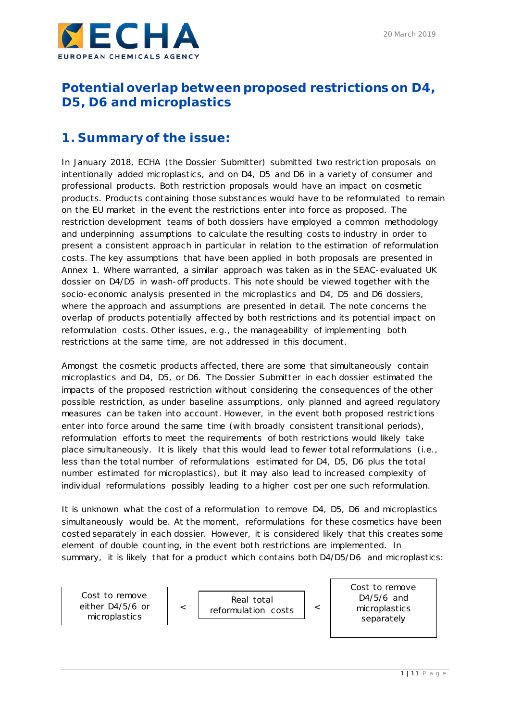

# **Potential overlap between proposed restrictions on D4, D5, D6 and microplastics**

# **1. Summary of the issue:**

In January 2018, ECHA (the Dossier Submitter) submitted two restriction proposals on intentionally added microplastics, and on D4, D5 and D6 in a variety of consumer and professional products. Both restriction proposals would have an impact on cosmetic products. Products containing those substances would have to be reformulated to remain on the EU market in the event the restrictions enter into force as proposed. The restriction development teams of both dossiers have employed a common methodology and underpinning assumptions to calculate the resulting costs to industry in order to present a consistent approach in particular in relation to the estimation of reformulation costs. The key assumptions that have been applied in both proposals are presented in [Annex 1.](#page-5-0) Where warranted, a similar approach was taken as in the SEAC-evaluated UK dossier on D4/D5 in wash-off products. This note should be viewed together with the socio-economic analysis presented in the microplastics and D4, D5 and D6 dossiers, where the approach and assumptions are presented in detail. The note concerns the overlap of products potentially affected by both restrictions and its potential impact on reformulation costs. Other issues, e.g., the manageability of implementing both restrictions at the same time, are not addressed in this document.

Amongst the cosmetic products affected, there are some that simultaneously contain microplastics and D4, D5, or D6. The Dossier Submitter in each dossier estimated the impacts of the proposed restriction without considering the consequences of the other possible restriction, as under baseline assumptions, only planned and agreed regulatory measures can be taken into account. However, in the event both proposed restrictions enter into force around the same time (with broadly consistent transitional periods), reformulation efforts to meet the requirements of both restrictions would likely take place simultaneously. It is likely that this would lead to fewer total reformulations (i.e., less than the total number of reformulations estimated for D4, D5, D6 plus the total number estimated for microplastics), but it may also lead to increased complexity of individual reformulations possibly leading to a higher cost per one such reformulation.

It is unknown what the cost of a reformulation to remove D4, D5, D6 and microplastics simultaneously would be. At the moment, reformulations for these cosmetics have been costed separately in each dossier. However, it is considered likely that this creates some element of double counting, in the event both restrictions are implemented. In summary, it is likely that for a product which contains both D4/D5/D6 and microplastics:

Cost to remove either D4/5/6 or microplastics Cost to remove D4/5/6 and microplastics separately < | Real total < reformulation costs | <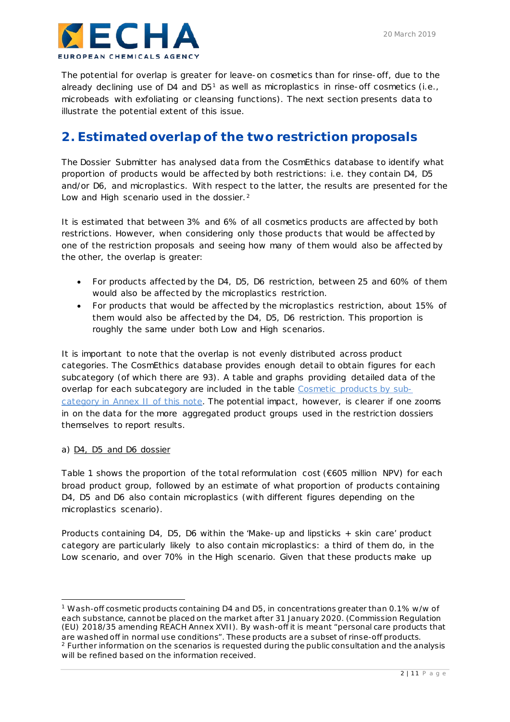

The potential for overlap is greater for leave-on cosmetics than for rinse-off, due to the already declining use of D4 and D5<sup>[1](#page-1-0)</sup> as well as microplastics in rinse-off cosmetics (i.e., microbeads with exfoliating or cleansing functions). The next section presents data to illustrate the potential extent of this issue.

## **2. Estimated overlap of the two restriction proposals**

The Dossier Submitter has analysed data from the CosmEthics database to identify what proportion of products would be affected by both restrictions: i.e. they contain D4, D5 and/or D6, and microplastics. With respect to the latter, the results are presented for the Low and High scenario used in the dossier.<sup>[2](#page-1-1)</sup>

It is estimated that between 3% and 6% of all cosmetics products are affected by both restrictions. However, when considering only those products that would be affected by one of the restriction proposals and seeing how many of them would also be affected by the other, the overlap is greater:

- For products affected by the D4, D5, D6 restriction, between 25 and 60% of them would also be affected by the microplastics restriction.
- For products that would be affected by the microplastics restriction, about 15% of them would also be affected by the D4, D5, D6 restriction. This proportion is roughly the same under both Low and High scenarios.

It is important to note that the overlap is not evenly distributed across product categories. The CosmEthics database provides enough detail to obtain figures for each subcategory (of which there are 93). A table and graphs providing detailed data of the overlap for each subcategory are included in the table [Cosmetic products by sub](#page-7-0)[category](#page-7-0) in Annex II of this note. The potential impact, however, is clearer if one zooms in on the data for the more aggregated product groups used in the restriction dossiers themselves to report results.

### a) D4, D5 and D6 dossier

[Table 1](#page-2-0) shows the proportion of the total reformulation cost (€605 million NPV) for each broad product group, followed by an estimate of what proportion of products containing D4, D5 and D6 also contain microplastics (with different figures depending on the microplastics scenario).

Products containing D4, D5, D6 within the 'Make-up and lipsticks + skin care' product category are particularly likely to also contain microplastics: a third of them do, in the Low scenario, and over 70% in the High scenario. Given that these products make up

<span id="page-1-1"></span><span id="page-1-0"></span><sup>-</sup><sup>1</sup> Wash-off cosmetic products containing D4 and D5, in concentrations greater than 0.1% w/w of each substance, cannot be placed on the market after 31 January 2020. (Commission Regulation (EU) 2018/35 amending REACH Annex XVII). By wash-off it is meant "personal care products that are washed off in normal use conditions". These products are a subset of rinse-off products. <sup>2</sup> Further information on the scenarios is requested during the public consultation and the analysis will be refined based on the information received.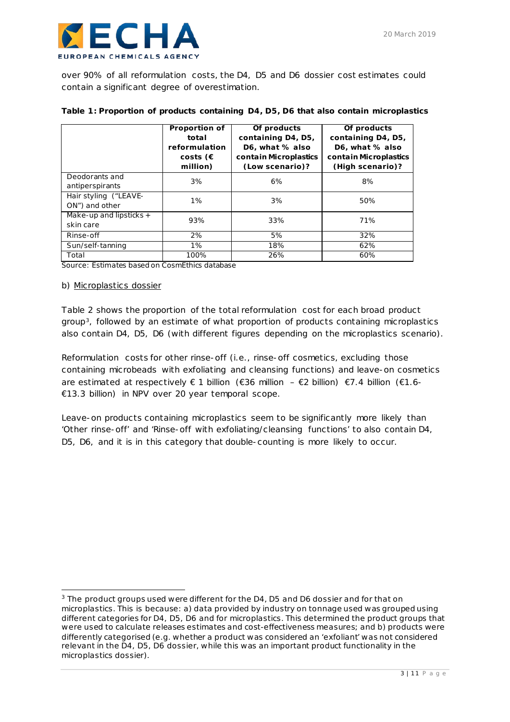over 90% of all reformulation costs, the D4, D5 and D6 dossier cost estimates could contain a significant degree of overestimation.

|                                         | Proportion of     | Of products           | Of products           |  |
|-----------------------------------------|-------------------|-----------------------|-----------------------|--|
|                                         | total             | containing D4, D5,    | containing D4, D5,    |  |
|                                         | reformulation     | D6, what % also       | D6, what % also       |  |
|                                         | costs $(\epsilon$ | contain Microplastics | contain Microplastics |  |
|                                         | million)          | (Low scenario)?       | (High scenario)?      |  |
| Deodorants and<br>antiperspirants       | 3%                | 6%                    | 8%                    |  |
| Hair styling ("LEAVE-<br>ON") and other | $1\%$             | 3%                    | 50%                   |  |
| Make-up and lipsticks +                 | 93%               | 33%                   | 71%                   |  |
| skin care                               |                   |                       |                       |  |
| Rinse-off                               | 2%                | 5%                    | 32%                   |  |
| Sun/self-tanning                        | $1\%$             | 18%                   | 62%                   |  |
| Total                                   | 100%              | 26%                   | 60%                   |  |

### <span id="page-2-0"></span>**Table 1: Proportion of products containing D4, D5, D6 that also contain microplastics**

*Source: Estimates based on CosmEthics database*

### b) Microplastics dossier

-

[Table 2](#page-2-1) shows the proportion of the total reformulation cost for each broad product group[3](#page-2-2), followed by an estimate of what proportion of products containing microplastics also contain D4, D5, D6 (with different figures depending on the microplastics scenario).

Reformulation costs for other rinse-off (i.e., rinse-off cosmetics, excluding those containing microbeads with exfoliating and cleansing functions) and leave-on cosmetics are estimated at respectively  $\in$  1 billion ( $\in$ 36 million –  $\in$ 2 billion)  $\in$ 7.4 billion ( $\in$ 1.6-€13.3 billion) in NPV over 20 year temporal scope.

<span id="page-2-1"></span>Leave-on products containing microplastics seem to be significantly more likely than 'Other rinse-off' and 'Rinse-off with exfoliating/cleansing functions' to also contain D4, D5, D6, and it is in this category that double-counting is more likely to occur.

<span id="page-2-2"></span><sup>&</sup>lt;sup>3</sup> The product groups used were different for the D4, D5 and D6 dossier and for that on microplastics. This is because: a) data provided by industry on tonnage used was grouped using different categories for D4, D5, D6 and for microplastics. This determined the product groups that were used to calculate releases estimates and cost-effectiveness measures; and b) products were differently categorised (e.g. whether a product was considered an 'exfoliant' was not considered relevant in the D4, D5, D6 dossier, while this was an important product functionality in the microplastics dossier).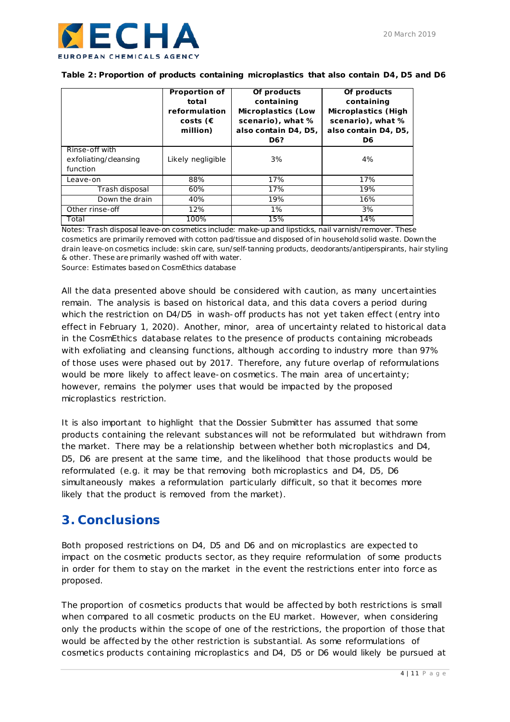

|  |  | Table 2: Proportion of products containing microplastics that also contain D4, D5 and D6 |  |
|--|--|------------------------------------------------------------------------------------------|--|
|--|--|------------------------------------------------------------------------------------------|--|

|                       | Of products<br><b>Proportion of</b> |                           | Of products                |  |
|-----------------------|-------------------------------------|---------------------------|----------------------------|--|
|                       | total                               | containing                | containing                 |  |
|                       | reformulation                       | <b>Microplastics (Low</b> | <b>Microplastics (High</b> |  |
|                       | costs ( $\epsilon$                  | scenario), what %         | scenario), what %          |  |
|                       | million)                            | also contain D4, D5,      | also contain D4, D5,       |  |
|                       |                                     | D <sub>6</sub> ?          | D <sub>6</sub>             |  |
| Rinse-off with        |                                     |                           |                            |  |
| exfoliating/cleansing | Likely negligible                   | 3%                        | 4%                         |  |
| function              |                                     |                           |                            |  |
| Leave-on              | 88%                                 | 17%                       | 17%                        |  |
| Trash disposal        | 60%                                 | 17%                       | 19%                        |  |
| Down the drain        | 40%                                 | 19%                       | 16%                        |  |
| Other rinse-off       | 12%                                 | 1%                        | 3%                         |  |
| Total                 | 100%                                | 15%                       | 14%                        |  |

*Notes: Trash disposal leave-on cosmetics include: make-up and lipsticks, nail varnish/remover. These cosmetics are primarily removed with cotton pad/tissue and disposed of in household solid waste. Down the drain leave-on cosmetics include: skin care, sun/self-tanning products, deodorants/antiperspirants, hair styling & other. These are primarily washed off with water.*

*Source: Estimates based on CosmEthics database*

All the data presented above should be considered with caution, as many uncertainties remain. The analysis is based on historical data, and this data covers a period during which the restriction on D4/D5 in wash-off products has not yet taken effect (entry into effect in February 1, 2020). Another, minor, area of uncertainty related to historical data in the CosmEthics database relates to the presence of products containing microbeads with exfoliating and cleansing functions, although according to industry more than 97% of those uses were phased out by 2017. Therefore, any future overlap of reformulations would be more likely to affect leave-on cosmetics. The main area of uncertainty; however, remains the polymer uses that would be impacted by the proposed microplastics restriction.

It is also important to highlight that the Dossier Submitter has assumed that some products containing the relevant substances will not be reformulated but withdrawn from the market. There may be a relationship between whether both microplastics and D4, D5, D6 are present at the same time, and the likelihood that those products would be reformulated (e.g. it may be that removing both microplastics and D4, D5, D6 simultaneously makes a reformulation particularly difficult, so that it becomes more likely that the product is removed from the market).

## **3. Conclusions**

Both proposed restrictions on D4, D5 and D6 and on microplastics are expected to impact on the cosmetic products sector, as they require reformulation of some products in order for them to stay on the market in the event the restrictions enter into force as proposed.

The proportion of cosmetics products that would be affected by both restrictions is small when compared to all cosmetic products on the EU market. However, when considering only the products within the scope of one of the restrictions, the proportion of those that would be affected by the other restriction is substantial. As some reformulations of cosmetics products containing microplastics and D4, D5 or D6 would likely be pursued at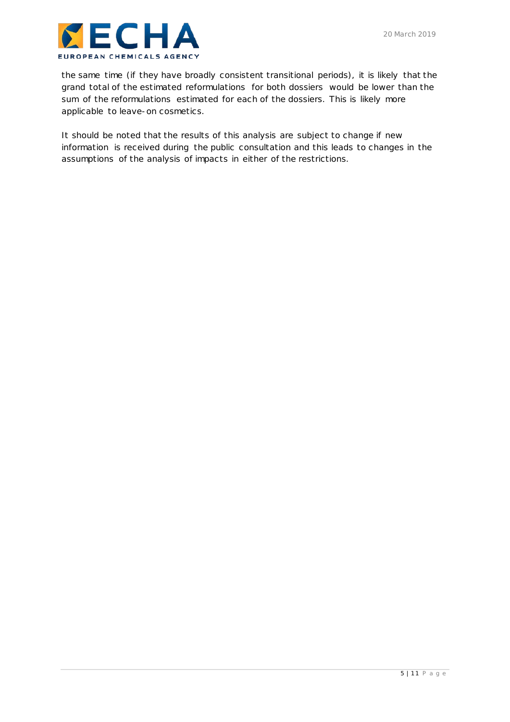

the same time (if they have broadly consistent transitional periods), it is likely that the grand total of the estimated reformulations for both dossiers would be lower than the sum of the reformulations estimated for each of the dossiers. This is likely more applicable to leave-on cosmetics.

It should be noted that the results of this analysis are subject to change if new information is received during the public consultation and this leads to changes in the assumptions of the analysis of impacts in either of the restrictions.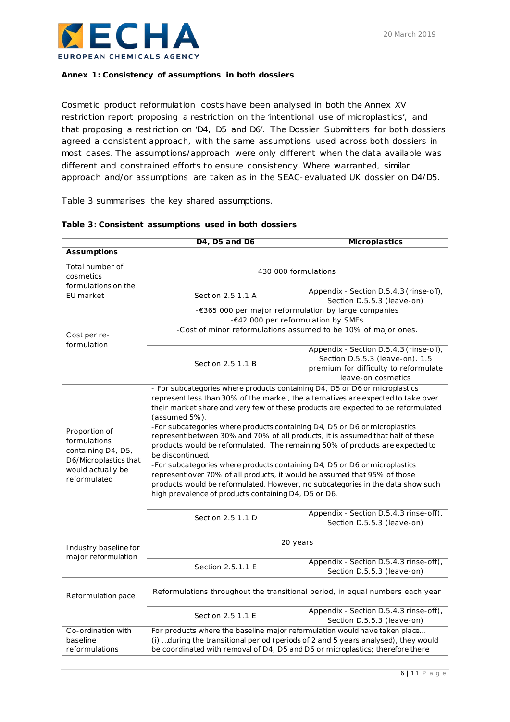

### <span id="page-5-0"></span>**Annex 1: Consistency of assumptions in both dossiers**

Cosmetic product reformulation costs have been analysed in both the Annex XV restriction report proposing a restriction on the 'intentional use of microplastics', and that proposing a restriction on 'D4, D5 and D6'. The Dossier Submitters for both dossiers agreed a consistent approach, with the same assumptions used across both dossiers in most cases. The assumptions/approach were only different when the data available was different and constrained efforts to ensure consistency. Where warranted, similar approach and/or assumptions are taken as in the SEAC-evaluated UK dossier on D4/D5.

[Table 3](#page-5-1) summarises the key shared assumptions.

|                                              | D <sub>4</sub> , D <sub>5</sub> and D <sub>6</sub>                                                                                                           | <b>Microplastics</b>                                                                                                                      |  |  |  |
|----------------------------------------------|--------------------------------------------------------------------------------------------------------------------------------------------------------------|-------------------------------------------------------------------------------------------------------------------------------------------|--|--|--|
| <b>Assumptions</b>                           |                                                                                                                                                              |                                                                                                                                           |  |  |  |
| Total number of<br>cosmetics                 | 430 000 formulations                                                                                                                                         |                                                                                                                                           |  |  |  |
| formulations on the<br>EU market             | Section 2.5.1.1 A                                                                                                                                            | Appendix - Section D.5.4.3 (rinse-off),<br>Section D.5.5.3 (leave-on)                                                                     |  |  |  |
|                                              |                                                                                                                                                              | -€365 000 per major reformulation by large companies                                                                                      |  |  |  |
|                                              |                                                                                                                                                              | -€42 000 per reformulation by SMEs                                                                                                        |  |  |  |
| Cost per re-<br>formulation                  | -Cost of minor reformulations assumed to be 10% of major ones.                                                                                               |                                                                                                                                           |  |  |  |
|                                              | Section 2.5.1.1 B                                                                                                                                            | Appendix - Section D.5.4.3 (rinse-off),<br>Section D.5.5.3 (leave-on). 1.5<br>premium for difficulty to reformulate<br>leave-on cosmetics |  |  |  |
|                                              |                                                                                                                                                              | - For subcategories where products containing D4, D5 or D6 or microplastics                                                               |  |  |  |
|                                              |                                                                                                                                                              | represent less than 30% of the market, the alternatives are expected to take over                                                         |  |  |  |
|                                              |                                                                                                                                                              | their market share and very few of these products are expected to be reformulated                                                         |  |  |  |
|                                              | (assumed 5%).                                                                                                                                                |                                                                                                                                           |  |  |  |
| Proportion of                                | -For subcategories where products containing D4, D5 or D6 or microplastics                                                                                   |                                                                                                                                           |  |  |  |
| formulations                                 | represent between 30% and 70% of all products, it is assumed that half of these                                                                              |                                                                                                                                           |  |  |  |
| containing D4, D5,                           | products would be reformulated. The remaining 50% of products are expected to                                                                                |                                                                                                                                           |  |  |  |
| D6/Microplastics that                        | be discontinued.                                                                                                                                             |                                                                                                                                           |  |  |  |
| would actually be                            | -For subcategories where products containing D4, D5 or D6 or microplastics                                                                                   |                                                                                                                                           |  |  |  |
| reformulated                                 | represent over 70% of all products, it would be assumed that 95% of those<br>products would be reformulated. However, no subcategories in the data show such |                                                                                                                                           |  |  |  |
|                                              | high prevalence of products containing D4, D5 or D6.                                                                                                         |                                                                                                                                           |  |  |  |
|                                              |                                                                                                                                                              |                                                                                                                                           |  |  |  |
|                                              |                                                                                                                                                              | Appendix - Section D.5.4.3 rinse-off),                                                                                                    |  |  |  |
|                                              | Section 2.5.1.1 D                                                                                                                                            | Section D.5.5.3 (leave-on)                                                                                                                |  |  |  |
|                                              | 20 years                                                                                                                                                     |                                                                                                                                           |  |  |  |
| Industry baseline for<br>major reformulation |                                                                                                                                                              |                                                                                                                                           |  |  |  |
|                                              | Section 2.5.1.1 E                                                                                                                                            | Appendix - Section D.5.4.3 rinse-off),<br>Section D.5.5.3 (leave-on)                                                                      |  |  |  |
| Reformulation pace                           | Reformulations throughout the transitional period, in equal numbers each year                                                                                |                                                                                                                                           |  |  |  |
|                                              | Section 2.5.1.1 E                                                                                                                                            | Appendix - Section D.5.4.3 rinse-off),                                                                                                    |  |  |  |
|                                              |                                                                                                                                                              | Section D.5.5.3 (leave-on)                                                                                                                |  |  |  |
| Co-ordination with                           | For products where the baseline major reformulation would have taken place                                                                                   |                                                                                                                                           |  |  |  |
| baseline                                     | (i) during the transitional period (periods of 2 and 5 years analysed), they would                                                                           |                                                                                                                                           |  |  |  |
| reformulations                               | be coordinated with removal of D4, D5 and D6 or microplastics; therefore there                                                                               |                                                                                                                                           |  |  |  |

### <span id="page-5-1"></span>**Table 3: Consistent assumptions used in both dossiers**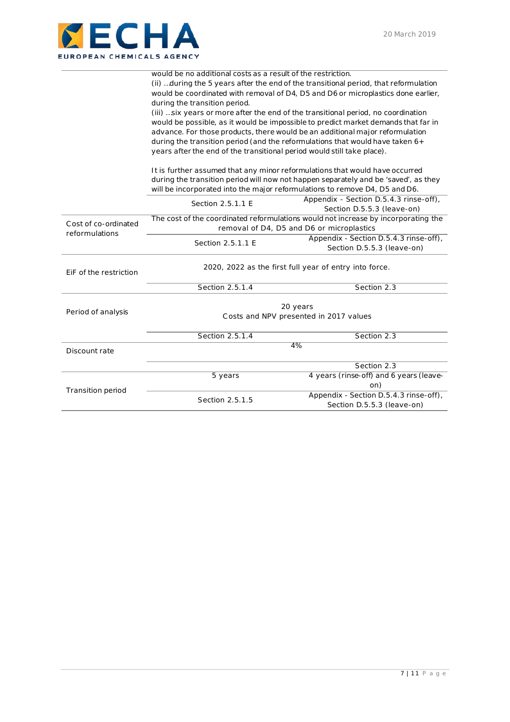

|                          | would be no additional costs as a result of the restriction.                                                                                                                                                                             |                                                                             |  |  |
|--------------------------|------------------------------------------------------------------------------------------------------------------------------------------------------------------------------------------------------------------------------------------|-----------------------------------------------------------------------------|--|--|
|                          | (ii) during the 5 years after the end of the transitional period, that reformulation                                                                                                                                                     |                                                                             |  |  |
|                          | would be coordinated with removal of D4, D5 and D6 or microplastics done earlier,                                                                                                                                                        |                                                                             |  |  |
|                          | during the transition period.                                                                                                                                                                                                            |                                                                             |  |  |
|                          | (iii)  six years or more after the end of the transitional period, no coordination                                                                                                                                                       |                                                                             |  |  |
|                          | would be possible, as it would be impossible to predict market demands that far in                                                                                                                                                       |                                                                             |  |  |
|                          | advance. For those products, there would be an additional major reformulation                                                                                                                                                            |                                                                             |  |  |
|                          | during the transition period (and the reformulations that would have taken 6+<br>years after the end of the transitional period would still take place).<br>It is further assumed that any minor reformulations that would have occurred |                                                                             |  |  |
|                          |                                                                                                                                                                                                                                          |                                                                             |  |  |
|                          |                                                                                                                                                                                                                                          |                                                                             |  |  |
|                          | during the transition period will now not happen separately and be 'saved', as they                                                                                                                                                      |                                                                             |  |  |
|                          |                                                                                                                                                                                                                                          | will be incorporated into the major reformulations to remove D4, D5 and D6. |  |  |
|                          | Section 2.5.1.1 E                                                                                                                                                                                                                        | Appendix - Section D.5.4.3 rinse-off),                                      |  |  |
|                          |                                                                                                                                                                                                                                          | Section D.5.5.3 (leave-on)                                                  |  |  |
| Cost of co-ordinated     | The cost of the coordinated reformulations would not increase by incorporating the                                                                                                                                                       |                                                                             |  |  |
| reformulations           | removal of D4, D5 and D6 or microplastics                                                                                                                                                                                                |                                                                             |  |  |
|                          | Section 2.5.1.1 E                                                                                                                                                                                                                        | Appendix - Section D.5.4.3 rinse-off),                                      |  |  |
|                          |                                                                                                                                                                                                                                          | Section D.5.5.3 (leave-on)                                                  |  |  |
|                          | 2020, 2022 as the first full year of entry into force.                                                                                                                                                                                   |                                                                             |  |  |
| EiF of the restriction   |                                                                                                                                                                                                                                          |                                                                             |  |  |
|                          | Section 2.5.1.4                                                                                                                                                                                                                          | Section 2.3                                                                 |  |  |
|                          | 20 years                                                                                                                                                                                                                                 |                                                                             |  |  |
| Period of analysis       | Costs and NPV presented in 2017 values                                                                                                                                                                                                   |                                                                             |  |  |
|                          |                                                                                                                                                                                                                                          |                                                                             |  |  |
|                          | Section 2.5.1.4                                                                                                                                                                                                                          | Section 2.3                                                                 |  |  |
| Discount rate            | 4%                                                                                                                                                                                                                                       |                                                                             |  |  |
|                          |                                                                                                                                                                                                                                          |                                                                             |  |  |
|                          |                                                                                                                                                                                                                                          | Section 2.3                                                                 |  |  |
|                          | 5 years                                                                                                                                                                                                                                  | 4 years (rinse-off) and 6 years (leave-                                     |  |  |
| <b>Transition period</b> |                                                                                                                                                                                                                                          | on)                                                                         |  |  |
|                          | Section 2.5.1.5                                                                                                                                                                                                                          | Appendix - Section D.5.4.3 rinse-off),                                      |  |  |
|                          |                                                                                                                                                                                                                                          | Section D.5.5.3 (leave-on)                                                  |  |  |
|                          |                                                                                                                                                                                                                                          |                                                                             |  |  |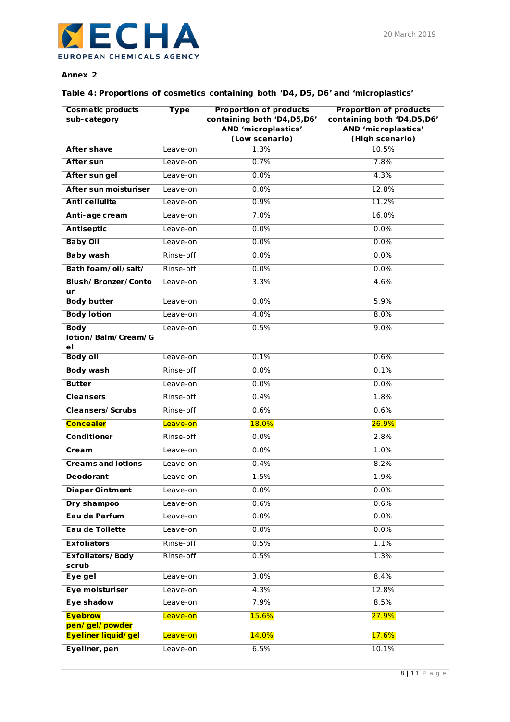### **Annex 2**

## **Table 4: Proportions of cosmetics containing both 'D4, D5, D6' and 'microplastics'**

<span id="page-7-0"></span>

| <b>Cosmetic products</b><br>sub-category | <b>Type</b> | <b>Proportion of products</b><br>containing both 'D4,D5,D6'<br>AND 'microplastics'<br>(Low scenario) | <b>Proportion of products</b><br>containing both 'D4,D5,D6'<br>AND 'microplastics'<br>(High scenario) |
|------------------------------------------|-------------|------------------------------------------------------------------------------------------------------|-------------------------------------------------------------------------------------------------------|
| <b>After shave</b>                       | Leave-on    | 1.3%                                                                                                 | 10.5%                                                                                                 |
| <b>After sun</b>                         | Leave-on    | 0.7%                                                                                                 | 7.8%                                                                                                  |
| After sungel                             | Leave-on    | 0.0%                                                                                                 | 4.3%                                                                                                  |
| After sun moisturiser                    | Leave-on    | 0.0%                                                                                                 | 12.8%                                                                                                 |
| <b>Anti cellulite</b>                    | Leave-on    | 0.9%                                                                                                 | 11.2%                                                                                                 |
| Anti-age cream                           | Leave-on    | 7.0%                                                                                                 | 16.0%                                                                                                 |
| Antiseptic                               | Leave-on    | 0.0%                                                                                                 | 0.0%                                                                                                  |
| <b>Baby Oil</b>                          | Leave-on    | 0.0%                                                                                                 | 0.0%                                                                                                  |
| <b>Baby wash</b>                         | Rinse-off   | 0.0%                                                                                                 | 0.0%                                                                                                  |
| Bath foam/oil/salt/                      | Rinse-off   | 0.0%                                                                                                 | 0.0%                                                                                                  |
| Blush/Bronzer/Conto                      | Leave-on    | 3.3%                                                                                                 | 4.6%                                                                                                  |
| ur<br><b>Body butter</b>                 | Leave-on    | 0.0%                                                                                                 | 5.9%                                                                                                  |
| <b>Body lotion</b>                       | Leave-on    | 4.0%                                                                                                 | 8.0%                                                                                                  |
| <b>Body</b>                              | Leave-on    | 0.5%                                                                                                 | 9.0%                                                                                                  |
| lotion/Balm/Cream/G<br>еI                |             |                                                                                                      |                                                                                                       |
| <b>Body oil</b>                          | Leave-on    | 0.1%                                                                                                 | 0.6%                                                                                                  |
| <b>Body wash</b>                         | Rinse-off   | 0.0%                                                                                                 | 0.1%                                                                                                  |
| <b>Butter</b>                            | Leave-on    | 0.0%                                                                                                 | 0.0%                                                                                                  |
| <b>Cleansers</b>                         | Rinse-off   | 0.4%                                                                                                 | 1.8%                                                                                                  |
| Cleansers/Scrubs                         | Rinse-off   | 0.6%                                                                                                 | 0.6%                                                                                                  |
| <b>Concealer</b>                         | Leave-on    | 18.0%                                                                                                | 26.9%                                                                                                 |
| Conditioner                              | Rinse-off   | 0.0%                                                                                                 | 2.8%                                                                                                  |
| Cream                                    | Leave-on    | 0.0%                                                                                                 | 1.0%                                                                                                  |
| <b>Creams and lotions</b>                | Leave-on    | 0.4%                                                                                                 | 8.2%                                                                                                  |
| <b>Deodorant</b>                         | Leave-on    | 1.5%                                                                                                 | 1.9%                                                                                                  |
| Diaper Ointment                          | Leave-on    | $0.0\%$                                                                                              | $0.0\%$                                                                                               |
| Dry shampoo                              | Leave-on    | 0.6%                                                                                                 | 0.6%                                                                                                  |
| Eau de Parfum                            | Leave-on    | 0.0%                                                                                                 | 0.0%                                                                                                  |
| Eau de Toilette                          | Leave-on    | 0.0%                                                                                                 | 0.0%                                                                                                  |
| <b>Exfoliators</b>                       | Rinse-off   | 0.5%                                                                                                 | 1.1%                                                                                                  |
| <b>Exfoliators/Body</b><br>scrub         | Rinse-off   | 0.5%                                                                                                 | 1.3%                                                                                                  |
| Eye gel                                  | Leave-on    | 3.0%                                                                                                 | 8.4%                                                                                                  |
| Eye moisturiser                          | Leave-on    | 4.3%                                                                                                 | 12.8%                                                                                                 |
| Eye shadow                               | Leave-on    | 7.9%                                                                                                 | 8.5%                                                                                                  |
| <b>Eyebrow</b>                           | Leave-on    | 15.6%                                                                                                | 27.9%                                                                                                 |
| pen/gel/powder<br>Eyeliner liquid/gel    | Leave-on    | 14.0%                                                                                                | 17.6%                                                                                                 |
| Eyeliner, pen                            | Leave-on    | 6.5%                                                                                                 | 10.1%                                                                                                 |
|                                          |             |                                                                                                      |                                                                                                       |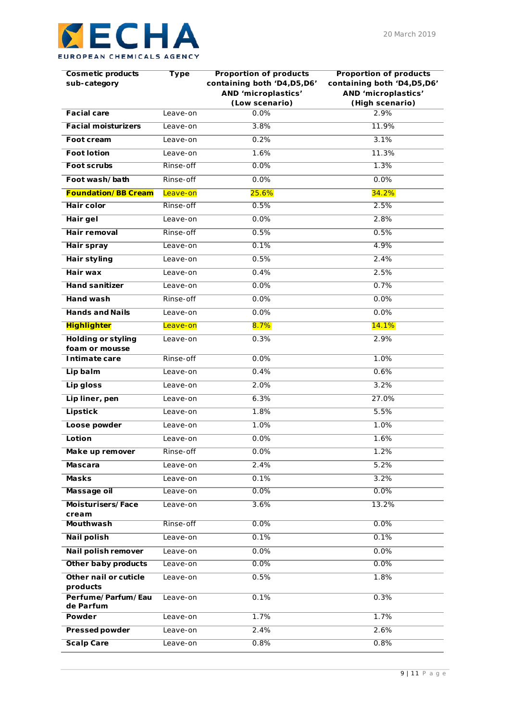| Cosmetic products<br>sub-category           | Type      | Proportion of products<br>containing both 'D4, D5, D6'<br>AND 'microplastics' | Proportion of products<br>containing both 'D4, D5, D6'<br>AND 'microplastics' |
|---------------------------------------------|-----------|-------------------------------------------------------------------------------|-------------------------------------------------------------------------------|
|                                             |           | (Low scenario)                                                                | (High scenario)                                                               |
| <b>Facial care</b>                          | Leave-on  | 0.0%                                                                          | 2.9%                                                                          |
| <b>Facial moisturizers</b>                  | Leave-on  | 3.8%                                                                          | 11.9%                                                                         |
| Foot cream                                  | Leave-on  | 0.2%                                                                          | 3.1%                                                                          |
| <b>Foot lotion</b>                          | Leave-on  | 1.6%                                                                          | 11.3%                                                                         |
| <b>Foot scrubs</b>                          | Rinse-off | $0.0\%$                                                                       | 1.3%                                                                          |
| Foot wash/bath                              | Rinse-off | 0.0%                                                                          | 0.0%                                                                          |
| <b>Foundation/BB Cream</b>                  | Leave-on  | 25.6%                                                                         | 34.2%                                                                         |
| <b>Hair color</b>                           | Rinse-off | 0.5%                                                                          | 2.5%                                                                          |
| Hair gel                                    | Leave-on  | 0.0%                                                                          | 2.8%                                                                          |
| Hair removal                                | Rinse-off | 0.5%                                                                          | 0.5%                                                                          |
| <b>Hair spray</b>                           | Leave-on  | 0.1%                                                                          | 4.9%                                                                          |
| Hair styling                                | Leave-on  | 0.5%                                                                          | 2.4%                                                                          |
| Hair wax                                    | Leave-on  | 0.4%                                                                          | 2.5%                                                                          |
| <b>Hand sanitizer</b>                       | Leave-on  | 0.0%                                                                          | 0.7%                                                                          |
| <b>Hand wash</b>                            | Rinse-off | 0.0%                                                                          | 0.0%                                                                          |
| <b>Hands and Nails</b>                      | Leave-on  | 0.0%                                                                          | 0.0%                                                                          |
| <b>Highlighter</b>                          | Leave-on  | 8.7%                                                                          | <b>14.1%</b>                                                                  |
| <b>Holding or styling</b><br>foam or mousse | Leave-on  | 0.3%                                                                          | 2.9%                                                                          |
| Intimate care                               | Rinse-off | 0.0%                                                                          | 1.0%                                                                          |
| Lip balm                                    | Leave-on  | 0.4%                                                                          | 0.6%                                                                          |
| Lip gloss                                   | Leave-on  | 2.0%                                                                          | 3.2%                                                                          |
| Lip liner, pen                              | Leave-on  | 6.3%                                                                          | 27.0%                                                                         |
| <b>Lipstick</b>                             | Leave-on  | 1.8%                                                                          | 5.5%                                                                          |
| Loose powder                                | Leave-on  | 1.0%                                                                          | 1.0%                                                                          |
| Lotion                                      | Leave-on  | 0.0%                                                                          | 1.6%                                                                          |
| Make up remover                             | Rinse-off | 0.0%                                                                          | 1.2%                                                                          |
| Mascara                                     | Leave-on  | 2.4%                                                                          | 5.2%                                                                          |
| <b>Masks</b>                                | Leave-on  | 0.1%                                                                          | 3.2%                                                                          |
| Massage oil                                 | Leave-on  | 0.0%                                                                          | 0.0%                                                                          |
| Moisturisers/Face                           | Leave-on  | 3.6%                                                                          | 13.2%                                                                         |
| cream<br><b>Mouthwash</b>                   | Rinse-off | 0.0%                                                                          | 0.0%                                                                          |
| <b>Nail polish</b>                          | Leave-on  | 0.1%                                                                          | 0.1%                                                                          |
| Nail polish remover                         | Leave-on  | 0.0%                                                                          | 0.0%                                                                          |
| Other baby products                         | Leave-on  | 0.0%                                                                          | 0.0%                                                                          |
| Other nail or cuticle                       | Leave-on  | 0.5%                                                                          | 1.8%                                                                          |
| products<br>Perfume/Parfum/Eau              | Leave-on  | 0.1%                                                                          | 0.3%                                                                          |
| de Parfum<br>Powder                         |           | 1.7%                                                                          | 1.7%                                                                          |
|                                             | Leave-on  |                                                                               |                                                                               |
| <b>Pressed powder</b>                       | Leave-on  | 2.4%                                                                          | 2.6%                                                                          |
| <b>Scalp Care</b>                           | Leave-on  | 0.8%                                                                          | 0.8%                                                                          |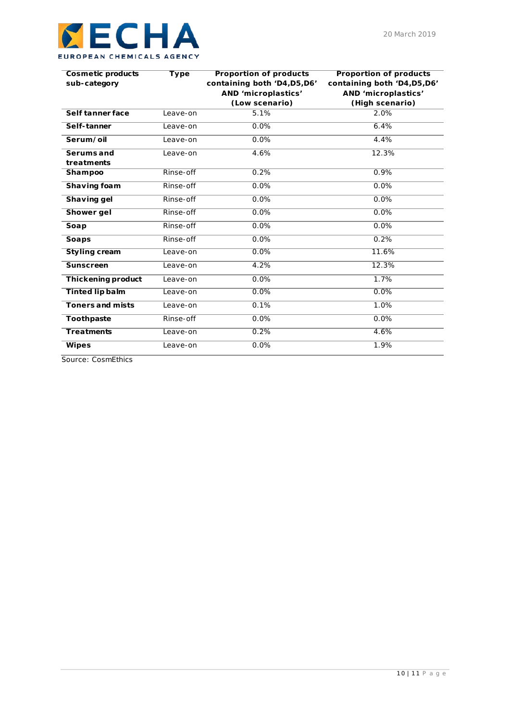| Cosmetic products<br>sub-category | Type      | Proportion of products<br>containing both 'D4,D5,D6'<br>AND 'microplastics'<br>(Low scenario) | Proportion of products<br>containing both 'D4, D5, D6'<br>AND 'microplastics' |
|-----------------------------------|-----------|-----------------------------------------------------------------------------------------------|-------------------------------------------------------------------------------|
|                                   |           |                                                                                               | (High scenario)                                                               |
| Self tanner face                  | Leave-on  | 5.1%                                                                                          | 2.0%                                                                          |
| Self-tanner                       | Leave-on  | $0.0\%$                                                                                       | 6.4%                                                                          |
| Serum/oil                         | Leave-on  | 0.0%                                                                                          | 4.4%                                                                          |
| Serums and                        | Leave-on  | 4.6%                                                                                          | 12.3%                                                                         |
| treatments                        |           |                                                                                               |                                                                               |
| <b>Shampoo</b>                    | Rinse-off | 0.2%                                                                                          | 0.9%                                                                          |
| Shaving foam                      | Rinse-off | 0.0%                                                                                          | 0.0%                                                                          |
| Shaving gel                       | Rinse-off | 0.0%                                                                                          | 0.0%                                                                          |
| Shower gel                        | Rinse-off | 0.0%                                                                                          | 0.0%                                                                          |
| Soap                              | Rinse-off | 0.0%                                                                                          | 0.0%                                                                          |
| <b>Soaps</b>                      | Rinse-off | 0.0%                                                                                          | 0.2%                                                                          |
| Styling cream                     | Leave-on  | 0.0%                                                                                          | 11.6%                                                                         |
| <b>Sunscreen</b>                  | Leave-on  | 4.2%                                                                                          | 12.3%                                                                         |
| Thickening product                | Leave-on  | 0.0%                                                                                          | 1.7%                                                                          |
| <b>Tinted lip balm</b>            | Leave-on  | 0.0%                                                                                          | 0.0%                                                                          |
| <b>Toners and mists</b>           | Leave-on  | 0.1%                                                                                          | 1.0%                                                                          |
| Toothpaste                        | Rinse-off | 0.0%                                                                                          | 0.0%                                                                          |
| <b>Treatments</b>                 | Leave-on  | 0.2%                                                                                          | 4.6%                                                                          |
| <b>Wipes</b>                      | Leave-on  | 0.0%                                                                                          | 1.9%                                                                          |

*Source: CosmEthics*